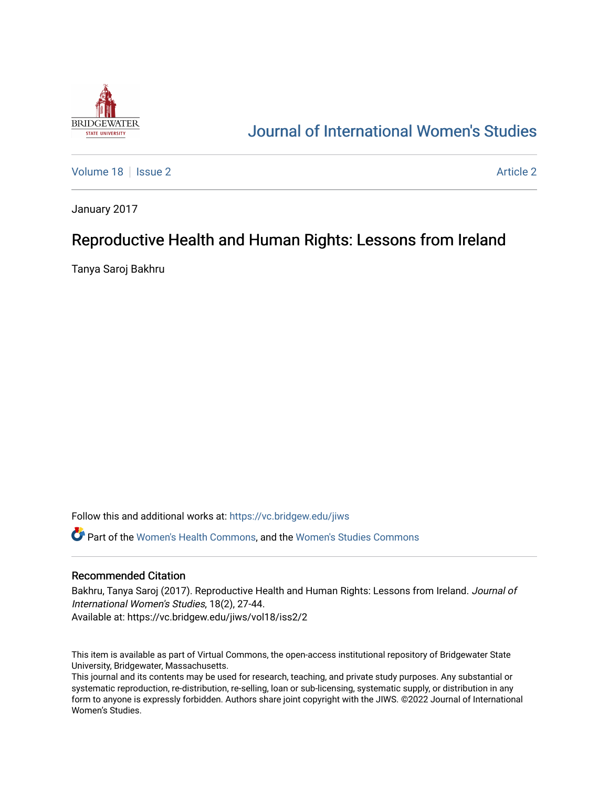

# [Journal of International Women's Studies](https://vc.bridgew.edu/jiws)

[Volume 18](https://vc.bridgew.edu/jiws/vol18) | [Issue 2](https://vc.bridgew.edu/jiws/vol18/iss2) [Article 2](https://vc.bridgew.edu/jiws/vol18/iss2/2) Article 2 Article 2 Article 2 Article 2 Article 2 Article 2 Article 2 Article 2

January 2017

## Reproductive Health and Human Rights: Lessons from Ireland

Tanya Saroj Bakhru

Follow this and additional works at: [https://vc.bridgew.edu/jiws](https://vc.bridgew.edu/jiws?utm_source=vc.bridgew.edu%2Fjiws%2Fvol18%2Fiss2%2F2&utm_medium=PDF&utm_campaign=PDFCoverPages)

Part of the [Women's Health Commons](http://network.bepress.com/hgg/discipline/1241?utm_source=vc.bridgew.edu%2Fjiws%2Fvol18%2Fiss2%2F2&utm_medium=PDF&utm_campaign=PDFCoverPages), and the [Women's Studies Commons](http://network.bepress.com/hgg/discipline/561?utm_source=vc.bridgew.edu%2Fjiws%2Fvol18%2Fiss2%2F2&utm_medium=PDF&utm_campaign=PDFCoverPages) 

#### Recommended Citation

Bakhru, Tanya Saroj (2017). Reproductive Health and Human Rights: Lessons from Ireland. Journal of International Women's Studies, 18(2), 27-44. Available at: https://vc.bridgew.edu/jiws/vol18/iss2/2

This item is available as part of Virtual Commons, the open-access institutional repository of Bridgewater State University, Bridgewater, Massachusetts.

This journal and its contents may be used for research, teaching, and private study purposes. Any substantial or systematic reproduction, re-distribution, re-selling, loan or sub-licensing, systematic supply, or distribution in any form to anyone is expressly forbidden. Authors share joint copyright with the JIWS. ©2022 Journal of International Women's Studies.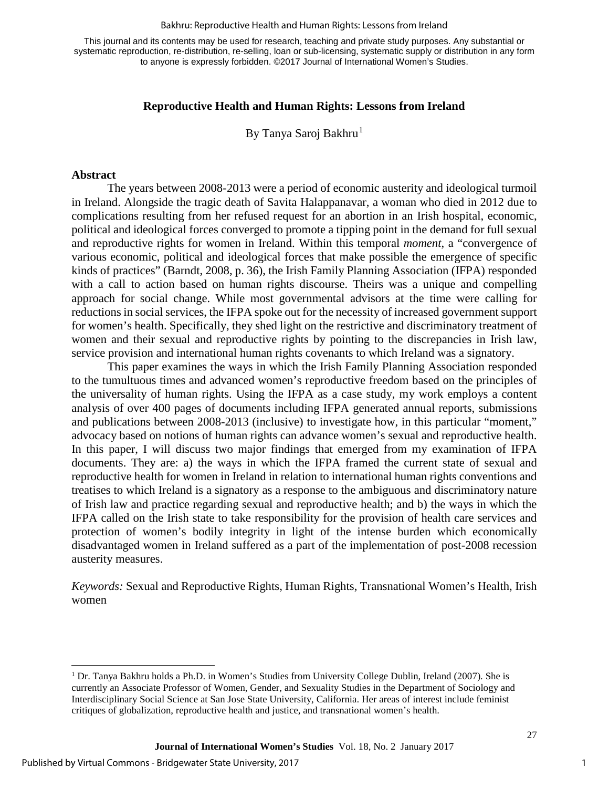#### Bakhru: Reproductive Health and Human Rights: Lessons from Ireland

This journal and its contents may be used for research, teaching and private study purposes. Any substantial or systematic reproduction, re-distribution, re-selling, loan or sub-licensing, systematic supply or distribution in any form to anyone is expressly forbidden. ©2017 Journal of International Women's Studies.

#### **Reproductive Health and Human Rights: Lessons from Ireland**

By Tanya Saroj Bakhru<sup>[1](#page-1-0)</sup>

#### **Abstract**

The years between 2008-2013 were a period of economic austerity and ideological turmoil in Ireland. Alongside the tragic death of Savita Halappanavar, a woman who died in 2012 due to complications resulting from her refused request for an abortion in an Irish hospital, economic, political and ideological forces converged to promote a tipping point in the demand for full sexual and reproductive rights for women in Ireland. Within this temporal *moment*, a "convergence of various economic, political and ideological forces that make possible the emergence of specific kinds of practices" (Barndt, 2008, p. 36), the Irish Family Planning Association (IFPA) responded with a call to action based on human rights discourse. Theirs was a unique and compelling approach for social change. While most governmental advisors at the time were calling for reductions in social services, the IFPA spoke out for the necessity of increased government support for women's health. Specifically, they shed light on the restrictive and discriminatory treatment of women and their sexual and reproductive rights by pointing to the discrepancies in Irish law, service provision and international human rights covenants to which Ireland was a signatory.

This paper examines the ways in which the Irish Family Planning Association responded to the tumultuous times and advanced women's reproductive freedom based on the principles of the universality of human rights. Using the IFPA as a case study, my work employs a content analysis of over 400 pages of documents including IFPA generated annual reports, submissions and publications between 2008-2013 (inclusive) to investigate how, in this particular "moment," advocacy based on notions of human rights can advance women's sexual and reproductive health. In this paper, I will discuss two major findings that emerged from my examination of IFPA documents. They are: a) the ways in which the IFPA framed the current state of sexual and reproductive health for women in Ireland in relation to international human rights conventions and treatises to which Ireland is a signatory as a response to the ambiguous and discriminatory nature of Irish law and practice regarding sexual and reproductive health; and b) the ways in which the IFPA called on the Irish state to take responsibility for the provision of health care services and protection of women's bodily integrity in light of the intense burden which economically disadvantaged women in Ireland suffered as a part of the implementation of post-2008 recession austerity measures.

*Keywords:* Sexual and Reproductive Rights, Human Rights, Transnational Women's Health, Irish women

<span id="page-1-0"></span> $\overline{1}$ <sup>1</sup> Dr. Tanya Bakhru holds a Ph.D. in Women's Studies from University College Dublin, Ireland (2007). She is currently an Associate Professor of Women, Gender, and Sexuality Studies in the Department of Sociology and Interdisciplinary Social Science at San Jose State University, California. Her areas of interest include feminist critiques of globalization, reproductive health and justice, and transnational women's health.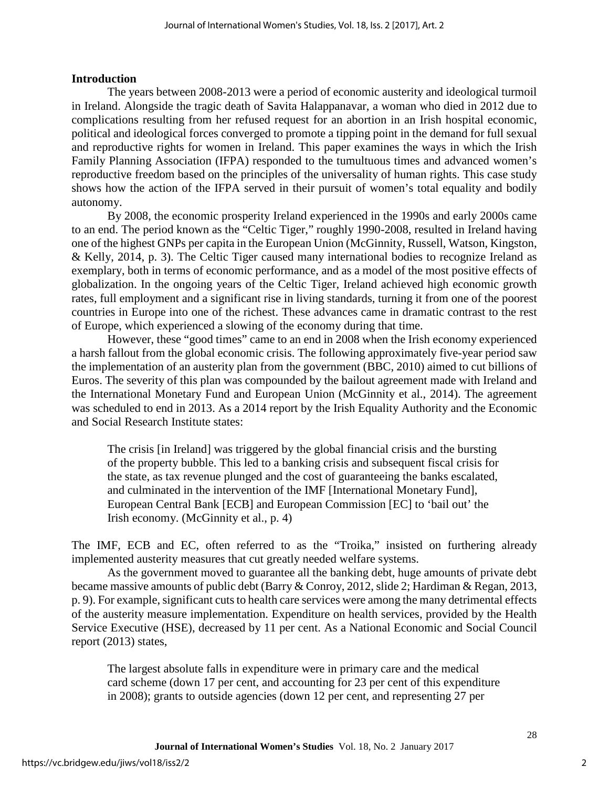#### **Introduction**

The years between 2008-2013 were a period of economic austerity and ideological turmoil in Ireland. Alongside the tragic death of Savita Halappanavar, a woman who died in 2012 due to complications resulting from her refused request for an abortion in an Irish hospital economic, political and ideological forces converged to promote a tipping point in the demand for full sexual and reproductive rights for women in Ireland. This paper examines the ways in which the Irish Family Planning Association (IFPA) responded to the tumultuous times and advanced women's reproductive freedom based on the principles of the universality of human rights. This case study shows how the action of the IFPA served in their pursuit of women's total equality and bodily autonomy.

By 2008, the economic prosperity Ireland experienced in the 1990s and early 2000s came to an end. The period known as the "Celtic Tiger," roughly 1990-2008, resulted in Ireland having one of the highest GNPs per capita in the European Union (McGinnity, Russell, Watson, Kingston, & Kelly, 2014, p. 3). The Celtic Tiger caused many international bodies to recognize Ireland as exemplary, both in terms of economic performance, and as a model of the most positive effects of globalization. In the ongoing years of the Celtic Tiger, Ireland achieved high economic growth rates, full employment and a significant rise in living standards, turning it from one of the poorest countries in Europe into one of the richest. These advances came in dramatic contrast to the rest of Europe, which experienced a slowing of the economy during that time.

However, these "good times" came to an end in 2008 when the Irish economy experienced a harsh fallout from the global economic crisis. The following approximately five-year period saw the implementation of an austerity plan from the government (BBC, 2010) aimed to cut billions of Euros. The severity of this plan was compounded by the bailout agreement made with Ireland and the International Monetary Fund and European Union (McGinnity et al., 2014). The agreement was scheduled to end in 2013. As a 2014 report by the Irish Equality Authority and the Economic and Social Research Institute states:

The crisis [in Ireland] was triggered by the global financial crisis and the bursting of the property bubble. This led to a banking crisis and subsequent fiscal crisis for the state, as tax revenue plunged and the cost of guaranteeing the banks escalated, and culminated in the intervention of the IMF [International Monetary Fund], European Central Bank [ECB] and European Commission [EC] to 'bail out' the Irish economy. (McGinnity et al., p. 4)

The IMF, ECB and EC, often referred to as the "Troika," insisted on furthering already implemented austerity measures that cut greatly needed welfare systems.

As the government moved to guarantee all the banking debt, huge amounts of private debt became massive amounts of public debt (Barry & Conroy, 2012, slide 2; Hardiman & Regan, 2013, p. 9). For example, significant cuts to health care services were among the many detrimental effects of the austerity measure implementation. Expenditure on health services, provided by the Health Service Executive (HSE), decreased by 11 per cent. As a National Economic and Social Council report (2013) states,

The largest absolute falls in expenditure were in primary care and the medical card scheme (down 17 per cent, and accounting for 23 per cent of this expenditure in 2008); grants to outside agencies (down 12 per cent, and representing 27 per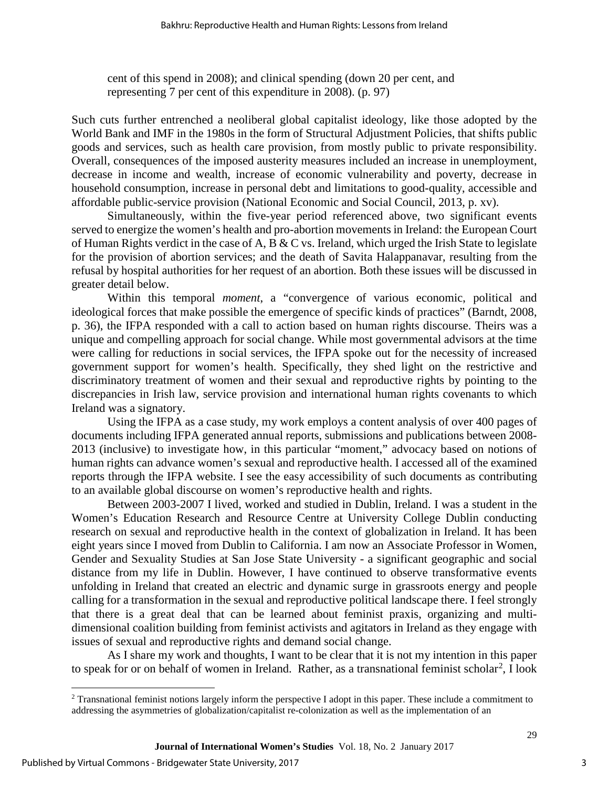cent of this spend in 2008); and clinical spending (down 20 per cent, and representing 7 per cent of this expenditure in 2008). (p. 97)

Such cuts further entrenched a neoliberal global capitalist ideology, like those adopted by the World Bank and IMF in the 1980s in the form of Structural Adjustment Policies, that shifts public goods and services, such as health care provision, from mostly public to private responsibility. Overall, consequences of the imposed austerity measures included an increase in unemployment, decrease in income and wealth, increase of economic vulnerability and poverty, decrease in household consumption, increase in personal debt and limitations to good-quality, accessible and affordable public-service provision (National Economic and Social Council, 2013, p. xv).

Simultaneously, within the five-year period referenced above, two significant events served to energize the women's health and pro-abortion movements in Ireland: the European Court of Human Rights verdict in the case of A, B & C vs. Ireland, which urged the Irish State to legislate for the provision of abortion services; and the death of Savita Halappanavar, resulting from the refusal by hospital authorities for her request of an abortion. Both these issues will be discussed in greater detail below.

Within this temporal *moment*, a "convergence of various economic, political and ideological forces that make possible the emergence of specific kinds of practices" (Barndt, 2008, p. 36), the IFPA responded with a call to action based on human rights discourse. Theirs was a unique and compelling approach for social change. While most governmental advisors at the time were calling for reductions in social services, the IFPA spoke out for the necessity of increased government support for women's health. Specifically, they shed light on the restrictive and discriminatory treatment of women and their sexual and reproductive rights by pointing to the discrepancies in Irish law, service provision and international human rights covenants to which Ireland was a signatory.

Using the IFPA as a case study, my work employs a content analysis of over 400 pages of documents including IFPA generated annual reports, submissions and publications between 2008- 2013 (inclusive) to investigate how, in this particular "moment," advocacy based on notions of human rights can advance women's sexual and reproductive health. I accessed all of the examined reports through the IFPA website. I see the easy accessibility of such documents as contributing to an available global discourse on women's reproductive health and rights.

Between 2003-2007 I lived, worked and studied in Dublin, Ireland. I was a student in the Women's Education Research and Resource Centre at University College Dublin conducting research on sexual and reproductive health in the context of globalization in Ireland. It has been eight years since I moved from Dublin to California. I am now an Associate Professor in Women, Gender and Sexuality Studies at San Jose State University - a significant geographic and social distance from my life in Dublin. However, I have continued to observe transformative events unfolding in Ireland that created an electric and dynamic surge in grassroots energy and people calling for a transformation in the sexual and reproductive political landscape there. I feel strongly that there is a great deal that can be learned about feminist praxis, organizing and multidimensional coalition building from feminist activists and agitators in Ireland as they engage with issues of sexual and reproductive rights and demand social change.

As I share my work and thoughts, I want to be clear that it is not my intention in this paper to speak for or on behalf of women in Ireland. Rather, as a transnational feminist scholar<sup>[2](#page-3-0)</sup>, I look

<span id="page-3-0"></span> $\overline{\phantom{a}}$  $2$  Transnational feminist notions largely inform the perspective I adopt in this paper. These include a commitment to addressing the asymmetries of globalization/capitalist re-colonization as well as the implementation of an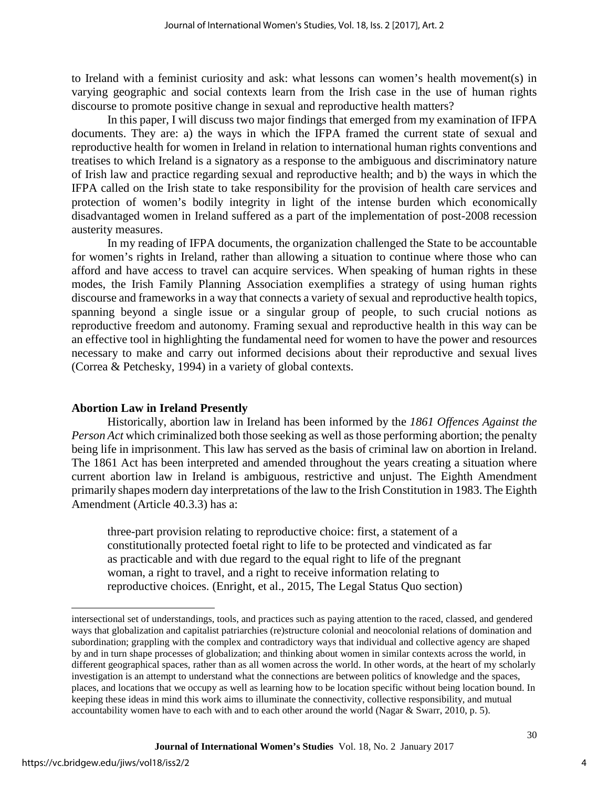to Ireland with a feminist curiosity and ask: what lessons can women's health movement(s) in varying geographic and social contexts learn from the Irish case in the use of human rights discourse to promote positive change in sexual and reproductive health matters?

In this paper, I will discuss two major findings that emerged from my examination of IFPA documents. They are: a) the ways in which the IFPA framed the current state of sexual and reproductive health for women in Ireland in relation to international human rights conventions and treatises to which Ireland is a signatory as a response to the ambiguous and discriminatory nature of Irish law and practice regarding sexual and reproductive health; and b) the ways in which the IFPA called on the Irish state to take responsibility for the provision of health care services and protection of women's bodily integrity in light of the intense burden which economically disadvantaged women in Ireland suffered as a part of the implementation of post-2008 recession austerity measures.

In my reading of IFPA documents, the organization challenged the State to be accountable for women's rights in Ireland, rather than allowing a situation to continue where those who can afford and have access to travel can acquire services. When speaking of human rights in these modes, the Irish Family Planning Association exemplifies a strategy of using human rights discourse and frameworks in a way that connects a variety of sexual and reproductive health topics, spanning beyond a single issue or a singular group of people, to such crucial notions as reproductive freedom and autonomy. Framing sexual and reproductive health in this way can be an effective tool in highlighting the fundamental need for women to have the power and resources necessary to make and carry out informed decisions about their reproductive and sexual lives (Correa & Petchesky, 1994) in a variety of global contexts.

#### **Abortion Law in Ireland Presently**

Historically, abortion law in Ireland has been informed by the *1861 Offences Against the Person Act* which criminalized both those seeking as well as those performing abortion; the penalty being life in imprisonment. This law has served as the basis of criminal law on abortion in Ireland. The 1861 Act has been interpreted and amended throughout the years creating a situation where current abortion law in Ireland is ambiguous, restrictive and unjust. The Eighth Amendment primarily shapes modern day interpretations of the law to the Irish Constitution in 1983. The Eighth Amendment (Article 40.3.3) has a:

three-part provision relating to reproductive choice: first, a statement of a constitutionally protected foetal right to life to be protected and vindicated as far as practicable and with due regard to the equal right to life of the pregnant woman, a right to travel, and a right to receive information relating to reproductive choices. (Enright, et al., 2015, The Legal Status Quo section)

j intersectional set of understandings, tools, and practices such as paying attention to the raced, classed, and gendered ways that globalization and capitalist patriarchies (re)structure colonial and neocolonial relations of domination and subordination; grappling with the complex and contradictory ways that individual and collective agency are shaped by and in turn shape processes of globalization; and thinking about women in similar contexts across the world, in different geographical spaces, rather than as all women across the world. In other words, at the heart of my scholarly investigation is an attempt to understand what the connections are between politics of knowledge and the spaces, places, and locations that we occupy as well as learning how to be location specific without being location bound. In keeping these ideas in mind this work aims to illuminate the connectivity, collective responsibility, and mutual accountability women have to each with and to each other around the world (Nagar & Swarr, 2010, p. 5).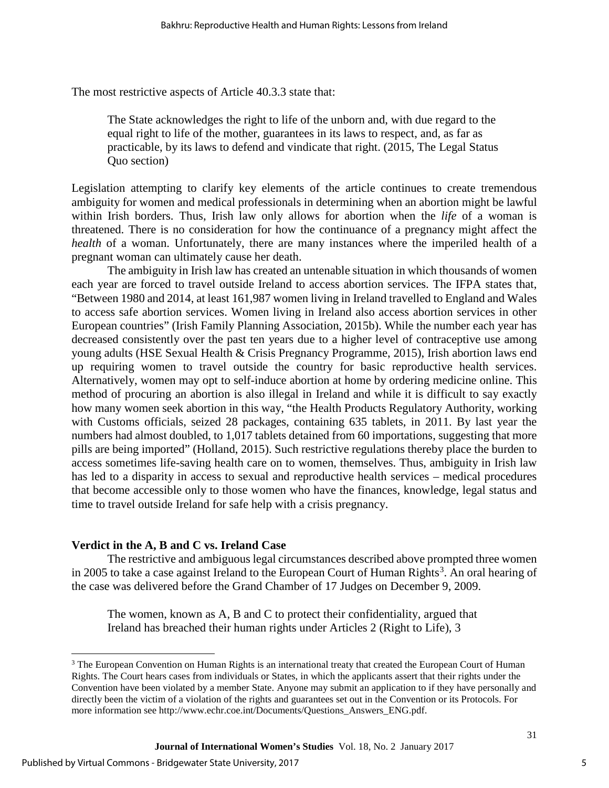The most restrictive aspects of Article 40.3.3 state that:

The State acknowledges the right to life of the unborn and, with due regard to the equal right to life of the mother, guarantees in its laws to respect, and, as far as practicable, by its laws to defend and vindicate that right. (2015, The Legal Status Quo section)

Legislation attempting to clarify key elements of the article continues to create tremendous ambiguity for women and medical professionals in determining when an abortion might be lawful within Irish borders. Thus, Irish law only allows for abortion when the *life* of a woman is threatened. There is no consideration for how the continuance of a pregnancy might affect the *health* of a woman. Unfortunately, there are many instances where the imperiled health of a pregnant woman can ultimately cause her death.

The ambiguity in Irish law has created an untenable situation in which thousands of women each year are forced to travel outside Ireland to access abortion services. The IFPA states that, "Between 1980 and 2014, at least 161,987 women living in Ireland travelled to England and Wales to access safe abortion services. Women living in Ireland also access abortion services in other European countries" (Irish Family Planning Association, 2015b). While the number each year has decreased consistently over the past ten years due to a higher level of contraceptive use among young adults (HSE Sexual Health & Crisis Pregnancy Programme, 2015), Irish abortion laws end up requiring women to travel outside the country for basic reproductive health services. Alternatively, women may opt to self-induce abortion at home by ordering medicine online. This method of procuring an abortion is also illegal in Ireland and while it is difficult to say exactly how many women seek abortion in this way, "the Health Products Regulatory Authority, working with Customs officials, seized 28 packages, containing 635 tablets, in 2011. By last year the numbers had almost doubled, to 1,017 tablets detained from 60 importations, suggesting that more pills are being imported" (Holland, 2015). Such restrictive regulations thereby place the burden to access sometimes life-saving health care on to women, themselves. Thus, ambiguity in Irish law has led to a disparity in access to sexual and reproductive health services – medical procedures that become accessible only to those women who have the finances, knowledge, legal status and time to travel outside Ireland for safe help with a crisis pregnancy.

#### **Verdict in the A, B and C vs. Ireland Case**

The restrictive and ambiguous legal circumstances described above prompted three women in 2005 to take a case against Ireland to the European Court of Human Rights<sup>[3](#page-5-0)</sup>. An oral hearing of the case was delivered before the Grand Chamber of 17 Judges on December 9, 2009.

The women, known as A, B and C to protect their confidentiality, argued that Ireland has breached their human rights under Articles 2 (Right to Life), 3

<span id="page-5-0"></span> $\overline{a}$ <sup>3</sup> The European Convention on Human Rights is an international treaty that created the European Court of Human Rights. The Court hears cases from individuals or States, in which the applicants assert that their rights under the Convention have been violated by a member State. Anyone may submit an application to if they have personally and directly been the victim of a violation of the rights and guarantees set out in the Convention or its Protocols. For more information see http://www.echr.coe.int/Documents/Questions\_Answers\_ENG.pdf.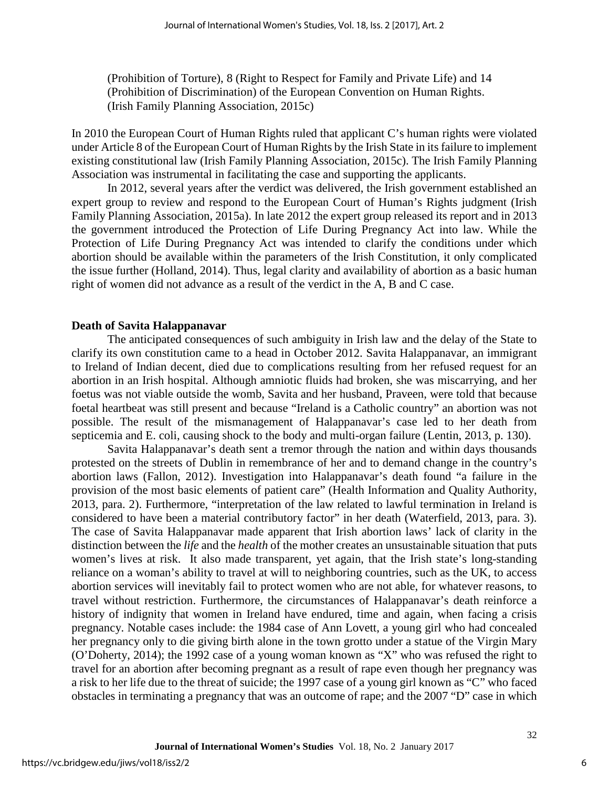(Prohibition of Torture), 8 (Right to Respect for Family and Private Life) and 14 (Prohibition of Discrimination) of the European Convention on Human Rights. (Irish Family Planning Association, 2015c)

In 2010 the European Court of Human Rights ruled that applicant C's human rights were violated under Article 8 of the European Court of Human Rights by the Irish State in its failure to implement existing constitutional law (Irish Family Planning Association, 2015c). The Irish Family Planning Association was instrumental in facilitating the case and supporting the applicants.

In 2012, several years after the verdict was delivered, the Irish government established an expert group to review and respond to the European Court of Human's Rights judgment (Irish Family Planning Association, 2015a). In late 2012 the expert group released its report and in 2013 the government introduced the Protection of Life During Pregnancy Act into law. While the Protection of Life During Pregnancy Act was intended to clarify the conditions under which abortion should be available within the parameters of the Irish Constitution, it only complicated the issue further (Holland, 2014). Thus, legal clarity and availability of abortion as a basic human right of women did not advance as a result of the verdict in the A, B and C case.

#### **Death of Savita Halappanavar**

The anticipated consequences of such ambiguity in Irish law and the delay of the State to clarify its own constitution came to a head in October 2012. Savita Halappanavar, an immigrant to Ireland of Indian decent, died due to complications resulting from her refused request for an abortion in an Irish hospital. Although amniotic fluids had broken, she was miscarrying, and her foetus was not viable outside the womb, Savita and her husband, Praveen, were told that because foetal heartbeat was still present and because "Ireland is a Catholic country" an abortion was not possible. The result of the mismanagement of Halappanavar's case led to her death from septicemia and E. coli, causing shock to the body and multi-organ failure (Lentin, 2013, p. 130).

Savita Halappanavar's death sent a tremor through the nation and within days thousands protested on the streets of Dublin in remembrance of her and to demand change in the country's abortion laws (Fallon, 2012). Investigation into Halappanavar's death found "a failure in the provision of the most basic elements of patient care" (Health Information and Quality Authority, 2013, para. 2). Furthermore, "interpretation of the law related to lawful termination in Ireland is considered to have been a material contributory factor" in her death (Waterfield, 2013, para. 3). The case of Savita Halappanavar made apparent that Irish abortion laws' lack of clarity in the distinction between the *life* and the *health* of the mother creates an unsustainable situation that puts women's lives at risk. It also made transparent, yet again, that the Irish state's long-standing reliance on a woman's ability to travel at will to neighboring countries, such as the UK, to access abortion services will inevitably fail to protect women who are not able, for whatever reasons, to travel without restriction. Furthermore, the circumstances of Halappanavar's death reinforce a history of indignity that women in Ireland have endured, time and again, when facing a crisis pregnancy. Notable cases include: the 1984 case of Ann Lovett, a young girl who had concealed her pregnancy only to die giving birth alone in the town grotto under a statue of the Virgin Mary (O'Doherty, 2014); the 1992 case of a young woman known as "X" who was refused the right to travel for an abortion after becoming pregnant as a result of rape even though her pregnancy was a risk to her life due to the threat of suicide; the 1997 case of a young girl known as "C" who faced obstacles in terminating a pregnancy that was an outcome of rape; and the 2007 "D" case in which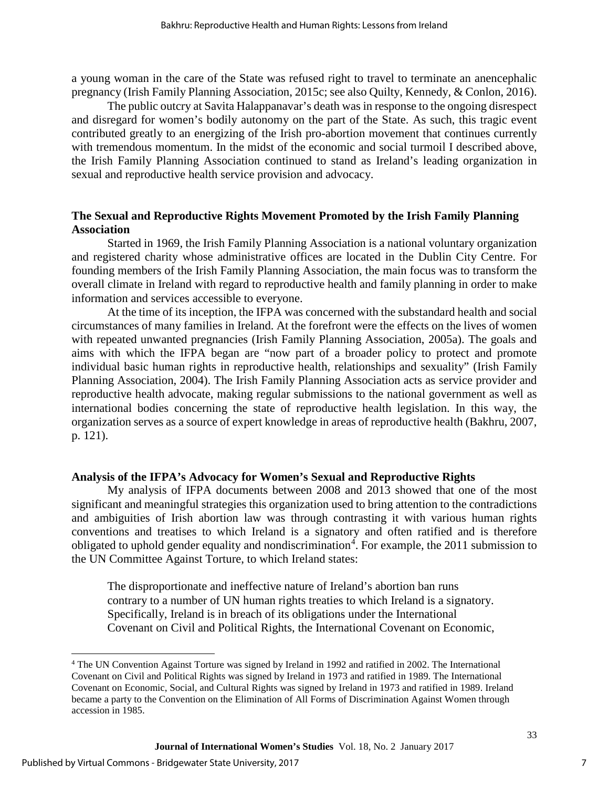a young woman in the care of the State was refused right to travel to terminate an anencephalic pregnancy (Irish Family Planning Association, 2015c; see also Quilty, Kennedy, & Conlon, 2016).

The public outcry at Savita Halappanavar's death was in response to the ongoing disrespect and disregard for women's bodily autonomy on the part of the State. As such, this tragic event contributed greatly to an energizing of the Irish pro-abortion movement that continues currently with tremendous momentum. In the midst of the economic and social turmoil I described above, the Irish Family Planning Association continued to stand as Ireland's leading organization in sexual and reproductive health service provision and advocacy.

### **The Sexual and Reproductive Rights Movement Promoted by the Irish Family Planning Association**

Started in 1969, the Irish Family Planning Association is a national voluntary organization and registered charity whose administrative offices are located in the Dublin City Centre. For founding members of the Irish Family Planning Association, the main focus was to transform the overall climate in Ireland with regard to reproductive health and family planning in order to make information and services accessible to everyone.

At the time of its inception, the IFPA was concerned with the substandard health and social circumstances of many families in Ireland. At the forefront were the effects on the lives of women with repeated unwanted pregnancies (Irish Family Planning Association, 2005a). The goals and aims with which the IFPA began are "now part of a broader policy to protect and promote individual basic human rights in reproductive health, relationships and sexuality" (Irish Family Planning Association, 2004). The Irish Family Planning Association acts as service provider and reproductive health advocate, making regular submissions to the national government as well as international bodies concerning the state of reproductive health legislation. In this way, the organization serves as a source of expert knowledge in areas of reproductive health (Bakhru, 2007, p. 121).

#### **Analysis of the IFPA's Advocacy for Women's Sexual and Reproductive Rights**

My analysis of IFPA documents between 2008 and 2013 showed that one of the most significant and meaningful strategies this organization used to bring attention to the contradictions and ambiguities of Irish abortion law was through contrasting it with various human rights conventions and treatises to which Ireland is a signatory and often ratified and is therefore obligated to uphold gender equality and nondiscrimination<sup>[4](#page-7-0)</sup>. For example, the 2011 submission to the UN Committee Against Torture, to which Ireland states:

The disproportionate and ineffective nature of Ireland's abortion ban runs contrary to a number of UN human rights treaties to which Ireland is a signatory. Specifically, Ireland is in breach of its obligations under the International Covenant on Civil and Political Rights, the International Covenant on Economic,

<span id="page-7-0"></span> $\overline{a}$ <sup>4</sup> The UN Convention Against Torture was signed by Ireland in 1992 and ratified in 2002. The International Covenant on Civil and Political Rights was signed by Ireland in 1973 and ratified in 1989. The International Covenant on Economic, Social, and Cultural Rights was signed by Ireland in 1973 and ratified in 1989. Ireland became a party to the Convention on the Elimination of All Forms of Discrimination Against Women through accession in 1985.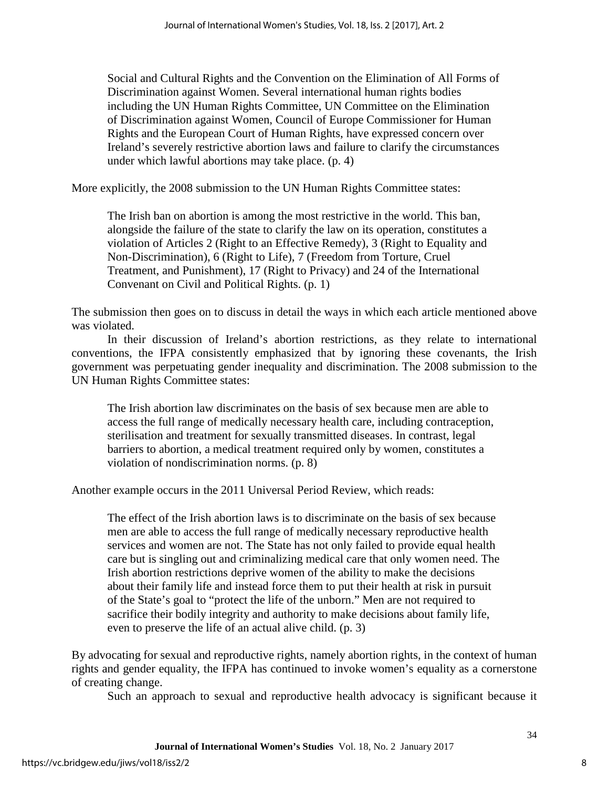Social and Cultural Rights and the Convention on the Elimination of All Forms of Discrimination against Women. Several international human rights bodies including the UN Human Rights Committee, UN Committee on the Elimination of Discrimination against Women, Council of Europe Commissioner for Human Rights and the European Court of Human Rights, have expressed concern over Ireland's severely restrictive abortion laws and failure to clarify the circumstances under which lawful abortions may take place. (p. 4)

More explicitly, the 2008 submission to the UN Human Rights Committee states:

The Irish ban on abortion is among the most restrictive in the world. This ban, alongside the failure of the state to clarify the law on its operation, constitutes a violation of Articles 2 (Right to an Effective Remedy), 3 (Right to Equality and Non-Discrimination), 6 (Right to Life), 7 (Freedom from Torture, Cruel Treatment, and Punishment), 17 (Right to Privacy) and 24 of the International Convenant on Civil and Political Rights. (p. 1)

The submission then goes on to discuss in detail the ways in which each article mentioned above was violated.

In their discussion of Ireland's abortion restrictions, as they relate to international conventions, the IFPA consistently emphasized that by ignoring these covenants, the Irish government was perpetuating gender inequality and discrimination. The 2008 submission to the UN Human Rights Committee states:

The Irish abortion law discriminates on the basis of sex because men are able to access the full range of medically necessary health care, including contraception, sterilisation and treatment for sexually transmitted diseases. In contrast, legal barriers to abortion, a medical treatment required only by women, constitutes a violation of nondiscrimination norms. (p. 8)

Another example occurs in the 2011 Universal Period Review, which reads:

The effect of the Irish abortion laws is to discriminate on the basis of sex because men are able to access the full range of medically necessary reproductive health services and women are not. The State has not only failed to provide equal health care but is singling out and criminalizing medical care that only women need. The Irish abortion restrictions deprive women of the ability to make the decisions about their family life and instead force them to put their health at risk in pursuit of the State's goal to "protect the life of the unborn." Men are not required to sacrifice their bodily integrity and authority to make decisions about family life, even to preserve the life of an actual alive child. (p. 3)

By advocating for sexual and reproductive rights, namely abortion rights, in the context of human rights and gender equality, the IFPA has continued to invoke women's equality as a cornerstone of creating change.

Such an approach to sexual and reproductive health advocacy is significant because it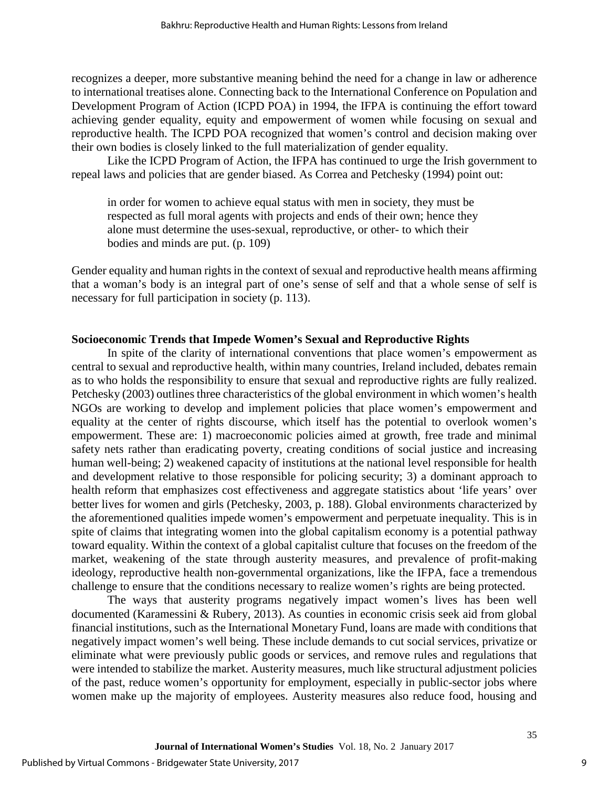recognizes a deeper, more substantive meaning behind the need for a change in law or adherence to international treatises alone. Connecting back to the International Conference on Population and Development Program of Action (ICPD POA) in 1994, the IFPA is continuing the effort toward achieving gender equality, equity and empowerment of women while focusing on sexual and reproductive health. The ICPD POA recognized that women's control and decision making over their own bodies is closely linked to the full materialization of gender equality.

Like the ICPD Program of Action, the IFPA has continued to urge the Irish government to repeal laws and policies that are gender biased. As Correa and Petchesky (1994) point out:

in order for women to achieve equal status with men in society, they must be respected as full moral agents with projects and ends of their own; hence they alone must determine the uses-sexual, reproductive, or other- to which their bodies and minds are put. (p. 109)

Gender equality and human rights in the context of sexual and reproductive health means affirming that a woman's body is an integral part of one's sense of self and that a whole sense of self is necessary for full participation in society (p. 113).

#### **Socioeconomic Trends that Impede Women's Sexual and Reproductive Rights**

In spite of the clarity of international conventions that place women's empowerment as central to sexual and reproductive health, within many countries, Ireland included, debates remain as to who holds the responsibility to ensure that sexual and reproductive rights are fully realized. Petchesky (2003) outlines three characteristics of the global environment in which women's health NGOs are working to develop and implement policies that place women's empowerment and equality at the center of rights discourse, which itself has the potential to overlook women's empowerment. These are: 1) macroeconomic policies aimed at growth, free trade and minimal safety nets rather than eradicating poverty, creating conditions of social justice and increasing human well-being; 2) weakened capacity of institutions at the national level responsible for health and development relative to those responsible for policing security; 3) a dominant approach to health reform that emphasizes cost effectiveness and aggregate statistics about 'life years' over better lives for women and girls (Petchesky, 2003, p. 188). Global environments characterized by the aforementioned qualities impede women's empowerment and perpetuate inequality. This is in spite of claims that integrating women into the global capitalism economy is a potential pathway toward equality. Within the context of a global capitalist culture that focuses on the freedom of the market, weakening of the state through austerity measures, and prevalence of profit-making ideology, reproductive health non-governmental organizations, like the IFPA, face a tremendous challenge to ensure that the conditions necessary to realize women's rights are being protected.

The ways that austerity programs negatively impact women's lives has been well documented (Karamessini & Rubery, 2013). As counties in economic crisis seek aid from global financial institutions, such as the International Monetary Fund, loans are made with conditions that negatively impact women's well being. These include demands to cut social services, privatize or eliminate what were previously public goods or services, and remove rules and regulations that were intended to stabilize the market. Austerity measures, much like structural adjustment policies of the past, reduce women's opportunity for employment, especially in public-sector jobs where women make up the majority of employees. Austerity measures also reduce food, housing and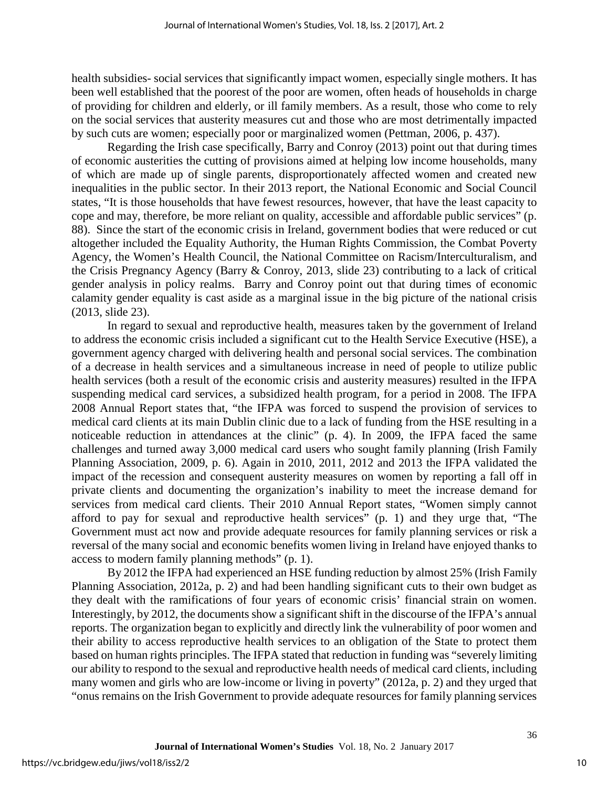health subsidies- social services that significantly impact women, especially single mothers. It has been well established that the poorest of the poor are women, often heads of households in charge of providing for children and elderly, or ill family members. As a result, those who come to rely on the social services that austerity measures cut and those who are most detrimentally impacted by such cuts are women; especially poor or marginalized women (Pettman, 2006, p. 437).

Regarding the Irish case specifically, Barry and Conroy (2013) point out that during times of economic austerities the cutting of provisions aimed at helping low income households, many of which are made up of single parents, disproportionately affected women and created new inequalities in the public sector. In their 2013 report, the National Economic and Social Council states, "It is those households that have fewest resources, however, that have the least capacity to cope and may, therefore, be more reliant on quality, accessible and affordable public services" (p. 88). Since the start of the economic crisis in Ireland, government bodies that were reduced or cut altogether included the Equality Authority, the Human Rights Commission, the Combat Poverty Agency, the Women's Health Council, the National Committee on Racism/Interculturalism, and the Crisis Pregnancy Agency (Barry & Conroy, 2013, slide 23) contributing to a lack of critical gender analysis in policy realms. Barry and Conroy point out that during times of economic calamity gender equality is cast aside as a marginal issue in the big picture of the national crisis (2013, slide 23).

In regard to sexual and reproductive health, measures taken by the government of Ireland to address the economic crisis included a significant cut to the Health Service Executive (HSE), a government agency charged with delivering health and personal social services. The combination of a decrease in health services and a simultaneous increase in need of people to utilize public health services (both a result of the economic crisis and austerity measures) resulted in the IFPA suspending medical card services, a subsidized health program, for a period in 2008. The IFPA 2008 Annual Report states that, "the IFPA was forced to suspend the provision of services to medical card clients at its main Dublin clinic due to a lack of funding from the HSE resulting in a noticeable reduction in attendances at the clinic" (p. 4). In 2009, the IFPA faced the same challenges and turned away 3,000 medical card users who sought family planning (Irish Family Planning Association, 2009, p. 6). Again in 2010, 2011, 2012 and 2013 the IFPA validated the impact of the recession and consequent austerity measures on women by reporting a fall off in private clients and documenting the organization's inability to meet the increase demand for services from medical card clients. Their 2010 Annual Report states, "Women simply cannot afford to pay for sexual and reproductive health services" (p. 1) and they urge that, "The Government must act now and provide adequate resources for family planning services or risk a reversal of the many social and economic benefits women living in Ireland have enjoyed thanks to access to modern family planning methods" (p. 1).

By 2012 the IFPA had experienced an HSE funding reduction by almost 25% (Irish Family Planning Association, 2012a, p. 2) and had been handling significant cuts to their own budget as they dealt with the ramifications of four years of economic crisis' financial strain on women. Interestingly, by 2012, the documents show a significant shift in the discourse of the IFPA's annual reports. The organization began to explicitly and directly link the vulnerability of poor women and their ability to access reproductive health services to an obligation of the State to protect them based on human rights principles. The IFPA stated that reduction in funding was "severely limiting our ability to respond to the sexual and reproductive health needs of medical card clients, including many women and girls who are low-income or living in poverty" (2012a, p. 2) and they urged that "onus remains on the Irish Government to provide adequate resources for family planning services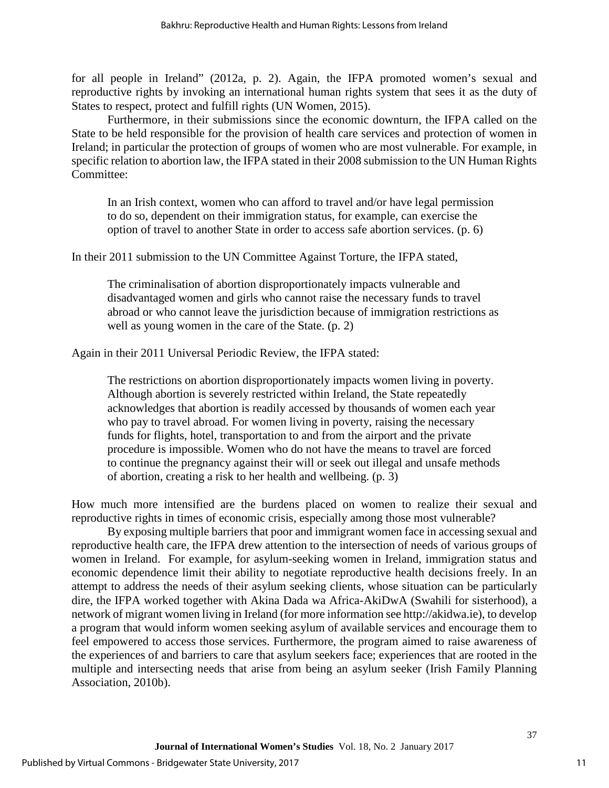for all people in Ireland" (2012a, p. 2). Again, the IFPA promoted women's sexual and reproductive rights by invoking an international human rights system that sees it as the duty of States to respect, protect and fulfill rights (UN Women, 2015).

Furthermore, in their submissions since the economic downturn, the IFPA called on the State to be held responsible for the provision of health care services and protection of women in Ireland; in particular the protection of groups of women who are most vulnerable. For example, in specific relation to abortion law, the IFPA stated in their 2008 submission to the UN Human Rights Committee:

In an Irish context, women who can afford to travel and/or have legal permission to do so, dependent on their immigration status, for example, can exercise the option of travel to another State in order to access safe abortion services. (p. 6)

In their 2011 submission to the UN Committee Against Torture, the IFPA stated,

The criminalisation of abortion disproportionately impacts vulnerable and disadvantaged women and girls who cannot raise the necessary funds to travel abroad or who cannot leave the jurisdiction because of immigration restrictions as well as young women in the care of the State. (p. 2)

Again in their 2011 Universal Periodic Review, the IFPA stated:

The restrictions on abortion disproportionately impacts women living in poverty. Although abortion is severely restricted within Ireland, the State repeatedly acknowledges that abortion is readily accessed by thousands of women each year who pay to travel abroad. For women living in poverty, raising the necessary funds for flights, hotel, transportation to and from the airport and the private procedure is impossible. Women who do not have the means to travel are forced to continue the pregnancy against their will or seek out illegal and unsafe methods of abortion, creating a risk to her health and wellbeing. (p. 3)

How much more intensified are the burdens placed on women to realize their sexual and reproductive rights in times of economic crisis, especially among those most vulnerable?

By exposing multiple barriers that poor and immigrant women face in accessing sexual and reproductive health care, the IFPA drew attention to the intersection of needs of various groups of women in Ireland. For example, for asylum-seeking women in Ireland, immigration status and economic dependence limit their ability to negotiate reproductive health decisions freely. In an attempt to address the needs of their asylum seeking clients, whose situation can be particularly dire, the IFPA worked together with Akina Dada wa Africa-AkiDwA (Swahili for sisterhood), a network of migrant women living in Ireland (for more information see http://akidwa.ie), to develop a program that would inform women seeking asylum of available services and encourage them to feel empowered to access those services. Furthermore, the program aimed to raise awareness of the experiences of and barriers to care that asylum seekers face; experiences that are rooted in the multiple and intersecting needs that arise from being an asylum seeker (Irish Family Planning Association, 2010b).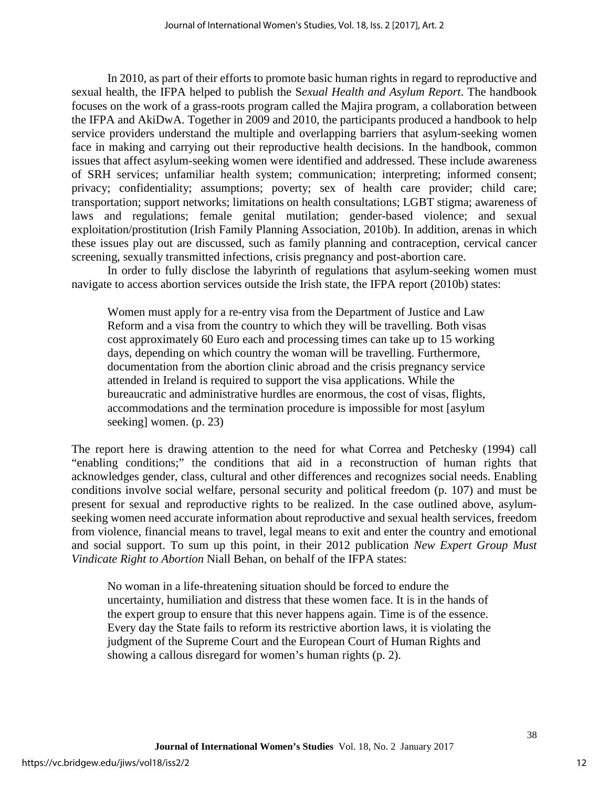In 2010, as part of their efforts to promote basic human rights in regard to reproductive and sexual health, the IFPA helped to publish the S*exual Health and Asylum Report*. The handbook focuses on the work of a grass-roots program called the Majira program, a collaboration between the IFPA and AkiDwA. Together in 2009 and 2010, the participants produced a handbook to help service providers understand the multiple and overlapping barriers that asylum-seeking women face in making and carrying out their reproductive health decisions. In the handbook, common issues that affect asylum-seeking women were identified and addressed. These include awareness of SRH services; unfamiliar health system; communication; interpreting; informed consent; privacy; confidentiality; assumptions; poverty; sex of health care provider; child care; transportation; support networks; limitations on health consultations; LGBT stigma; awareness of laws and regulations; female genital mutilation; gender-based violence; and sexual exploitation/prostitution (Irish Family Planning Association, 2010b). In addition, arenas in which these issues play out are discussed, such as family planning and contraception, cervical cancer screening, sexually transmitted infections, crisis pregnancy and post-abortion care.

In order to fully disclose the labyrinth of regulations that asylum-seeking women must navigate to access abortion services outside the Irish state, the IFPA report (2010b) states:

Women must apply for a re-entry visa from the Department of Justice and Law Reform and a visa from the country to which they will be travelling. Both visas cost approximately 60 Euro each and processing times can take up to 15 working days, depending on which country the woman will be travelling. Furthermore, documentation from the abortion clinic abroad and the crisis pregnancy service attended in Ireland is required to support the visa applications. While the bureaucratic and administrative hurdles are enormous, the cost of visas, flights, accommodations and the termination procedure is impossible for most [asylum seeking] women. (p. 23)

The report here is drawing attention to the need for what Correa and Petchesky (1994) call "enabling conditions;" the conditions that aid in a reconstruction of human rights that acknowledges gender, class, cultural and other differences and recognizes social needs. Enabling conditions involve social welfare, personal security and political freedom (p. 107) and must be present for sexual and reproductive rights to be realized. In the case outlined above, asylumseeking women need accurate information about reproductive and sexual health services, freedom from violence, financial means to travel, legal means to exit and enter the country and emotional and social support. To sum up this point, in their 2012 publication *New Expert Group Must Vindicate Right to Abortion* Niall Behan, on behalf of the IFPA states:

No woman in a life-threatening situation should be forced to endure the uncertainty, humiliation and distress that these women face. It is in the hands of the expert group to ensure that this never happens again. Time is of the essence. Every day the State fails to reform its restrictive abortion laws, it is violating the judgment of the Supreme Court and the European Court of Human Rights and showing a callous disregard for women's human rights (p. 2).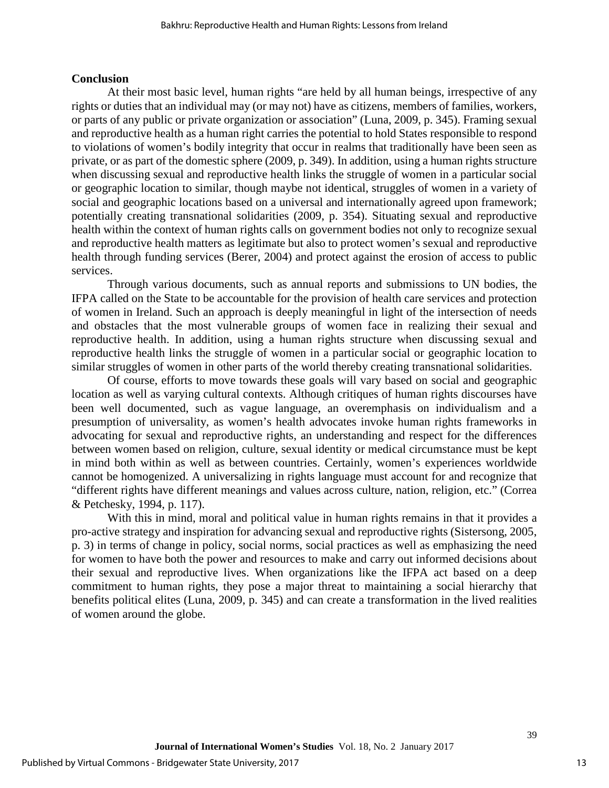#### **Conclusion**

At their most basic level, human rights "are held by all human beings, irrespective of any rights or duties that an individual may (or may not) have as citizens, members of families, workers, or parts of any public or private organization or association" (Luna, 2009, p. 345). Framing sexual and reproductive health as a human right carries the potential to hold States responsible to respond to violations of women's bodily integrity that occur in realms that traditionally have been seen as private, or as part of the domestic sphere (2009, p. 349). In addition, using a human rights structure when discussing sexual and reproductive health links the struggle of women in a particular social or geographic location to similar, though maybe not identical, struggles of women in a variety of social and geographic locations based on a universal and internationally agreed upon framework; potentially creating transnational solidarities (2009, p. 354). Situating sexual and reproductive health within the context of human rights calls on government bodies not only to recognize sexual and reproductive health matters as legitimate but also to protect women's sexual and reproductive health through funding services (Berer, 2004) and protect against the erosion of access to public services.

Through various documents, such as annual reports and submissions to UN bodies, the IFPA called on the State to be accountable for the provision of health care services and protection of women in Ireland. Such an approach is deeply meaningful in light of the intersection of needs and obstacles that the most vulnerable groups of women face in realizing their sexual and reproductive health. In addition, using a human rights structure when discussing sexual and reproductive health links the struggle of women in a particular social or geographic location to similar struggles of women in other parts of the world thereby creating transnational solidarities.

Of course, efforts to move towards these goals will vary based on social and geographic location as well as varying cultural contexts. Although critiques of human rights discourses have been well documented, such as vague language, an overemphasis on individualism and a presumption of universality, as women's health advocates invoke human rights frameworks in advocating for sexual and reproductive rights, an understanding and respect for the differences between women based on religion, culture, sexual identity or medical circumstance must be kept in mind both within as well as between countries. Certainly, women's experiences worldwide cannot be homogenized. A universalizing in rights language must account for and recognize that "different rights have different meanings and values across culture, nation, religion, etc." (Correa & Petchesky, 1994, p. 117).

With this in mind, moral and political value in human rights remains in that it provides a pro-active strategy and inspiration for advancing sexual and reproductive rights (Sistersong, 2005, p. 3) in terms of change in policy, social norms, social practices as well as emphasizing the need for women to have both the power and resources to make and carry out informed decisions about their sexual and reproductive lives. When organizations like the IFPA act based on a deep commitment to human rights, they pose a major threat to maintaining a social hierarchy that benefits political elites (Luna, 2009, p. 345) and can create a transformation in the lived realities of women around the globe.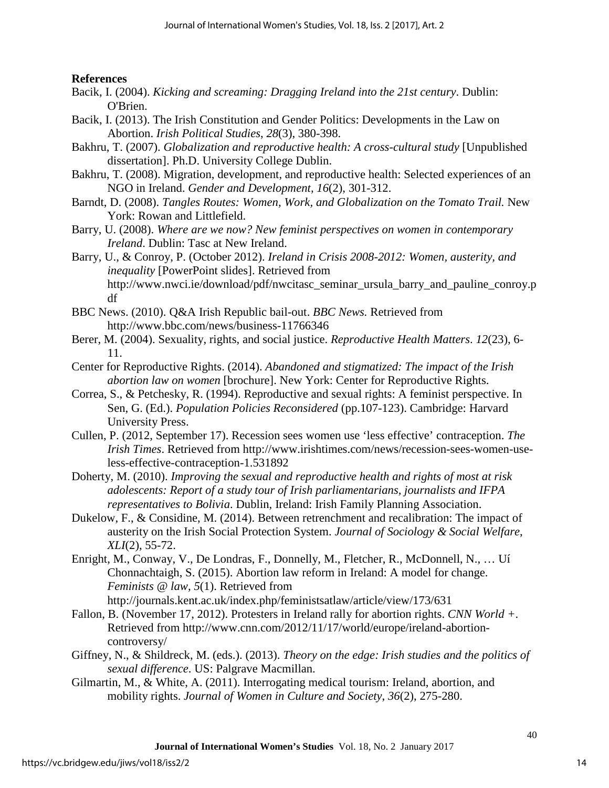**References**

- Bacik, I. (2004). *Kicking and screaming: Dragging Ireland into the 21st century*. Dublin: O'Brien.
- Bacik, I. (2013). The Irish Constitution and Gender Politics: Developments in the Law on Abortion. *Irish Political Studies*, *28*(3), 380-398.
- Bakhru, T. (2007). *Globalization and reproductive health: A cross-cultural study* [Unpublished dissertation]. Ph.D. University College Dublin.
- Bakhru, T. (2008). Migration, development, and reproductive health: Selected experiences of an NGO in Ireland. *Gender and Development, 16*(2), 301-312.
- Barndt, D. (2008). *Tangles Routes: Women, Work, and Globalization on the Tomato Trail.* New York: Rowan and Littlefield.
- Barry, U. (2008). *Where are we now? New feminist perspectives on women in contemporary Ireland*. Dublin: Tasc at New Ireland.
- Barry, U., & Conroy, P. (October 2012). *Ireland in Crisis 2008-2012: Women, austerity, and inequality* [PowerPoint slides]. Retrieved from http://www.nwci.ie/download/pdf/nwcitasc\_seminar\_ursula\_barry\_and\_pauline\_conroy.p df
- BBC News. (2010). Q&A Irish Republic bail-out. *BBC News.* Retrieved from http://www.bbc.com/news/business-11766346
- Berer, M. (2004). Sexuality, rights, and social justice. *Reproductive Health Matters*. *12*(23), 6- 11.
- Center for Reproductive Rights. (2014). *Abandoned and stigmatized: The impact of the Irish abortion law on women* [brochure]. New York: Center for Reproductive Rights.
- Correa, S., & Petchesky, R. (1994). Reproductive and sexual rights: A feminist perspective. In Sen, G. (Ed.). *Population Policies Reconsidered* (pp.107-123). Cambridge: Harvard University Press.
- Cullen, P. (2012, September 17). Recession sees women use 'less effective' contraception. *The Irish Times*. Retrieved from http://www.irishtimes.com/news/recession-sees-women-useless-effective-contraception-1.531892
- Doherty, M. (2010). *Improving the sexual and reproductive health and rights of most at risk adolescents: Report of a study tour of Irish parliamentarians, journalists and IFPA representatives to Bolivia*. Dublin, Ireland: Irish Family Planning Association.
- Dukelow, F., & Considine, M. (2014). Between retrenchment and recalibration: The impact of austerity on the Irish Social Protection System. *Journal of Sociology & Social Welfare*, *XLI*(2), 55-72.
- Enright, M., Conway, V., De Londras, F., Donnelly, M., Fletcher, R., McDonnell, N., … Uí Chonnachtaigh, S. (2015). Abortion law reform in Ireland: A model for change. *Feminists @ law, 5*(1). Retrieved from http://journals.kent.ac.uk/index.php/feministsatlaw/article/view/173/631
- Fallon, B. (November 17, 2012). Protesters in Ireland rally for abortion rights. *CNN World +*. Retrieved from http://www.cnn.com/2012/11/17/world/europe/ireland-abortioncontroversy/
- Giffney, N., & Shildreck, M. (eds.). (2013). *Theory on the edge: Irish studies and the politics of sexual difference*. US: Palgrave Macmillan.
- Gilmartin, M., & White, A. (2011). Interrogating medical tourism: Ireland, abortion, and mobility rights. *Journal of Women in Culture and Society*, *36*(2), 275-280.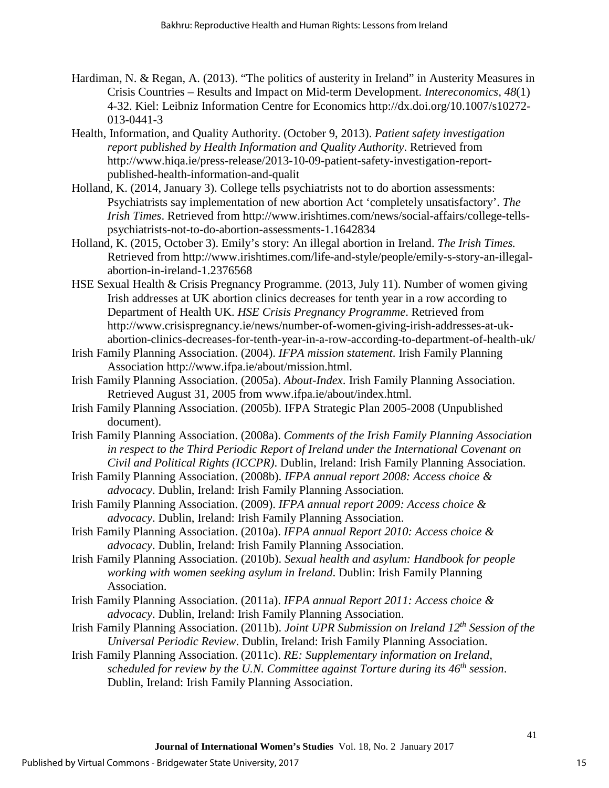- Hardiman, N. & Regan, A. (2013). "The politics of austerity in Ireland" in Austerity Measures in Crisis Countries – Results and Impact on Mid-term Development. *Intereconomics, 48*(1) 4-32. Kiel: Leibniz Information Centre for Economics http://dx.doi.org/10.1007/s10272- 013-0441-3
- Health, Information, and Quality Authority. (October 9, 2013). *Patient safety investigation report published by Health Information and Quality Authority*. Retrieved from http://www.hiqa.ie/press-release/2013-10-09-patient-safety-investigation-reportpublished-health-information-and-qualit
- Holland, K. (2014, January 3). College tells psychiatrists not to do abortion assessments: Psychiatrists say implementation of new abortion Act 'completely unsatisfactory'. *The Irish Times*. Retrieved from http://www.irishtimes.com/news/social-affairs/college-tellspsychiatrists-not-to-do-abortion-assessments-1.1642834
- Holland, K. (2015, October 3). Emily's story: An illegal abortion in Ireland. *The Irish Times.*  Retrieved from http://www.irishtimes.com/life-and-style/people/emily-s-story-an-illegalabortion-in-ireland-1.2376568
- HSE Sexual Health & Crisis Pregnancy Programme. (2013, July 11). Number of women giving Irish addresses at UK abortion clinics decreases for tenth year in a row according to Department of Health UK. *HSE Crisis Pregnancy Programme*. Retrieved from http://www.crisispregnancy.ie/news/number-of-women-giving-irish-addresses-at-ukabortion-clinics-decreases-for-tenth-year-in-a-row-according-to-department-of-health-uk/
- Irish Family Planning Association. (2004). *IFPA mission statement*. Irish Family Planning Association http://www.ifpa.ie/about/mission.html.
- Irish Family Planning Association. (2005a). *About-Index*. Irish Family Planning Association. Retrieved August 31, 2005 from www.ifpa.ie/about/index.html.
- Irish Family Planning Association. (2005b). IFPA Strategic Plan 2005-2008 (Unpublished document).
- Irish Family Planning Association. (2008a). *Comments of the Irish Family Planning Association in respect to the Third Periodic Report of Ireland under the International Covenant on Civil and Political Rights (ICCPR)*. Dublin, Ireland: Irish Family Planning Association.
- Irish Family Planning Association. (2008b). *IFPA annual report 2008: Access choice & advocacy*. Dublin, Ireland: Irish Family Planning Association.
- Irish Family Planning Association. (2009). *IFPA annual report 2009: Access choice & advocacy*. Dublin, Ireland: Irish Family Planning Association.
- Irish Family Planning Association. (2010a). *IFPA annual Report 2010: Access choice & advocacy*. Dublin, Ireland: Irish Family Planning Association.
- Irish Family Planning Association. (2010b). *Sexual health and asylum: Handbook for people working with women seeking asylum in Ireland*. Dublin: Irish Family Planning Association.
- Irish Family Planning Association. (2011a). *IFPA annual Report 2011: Access choice & advocacy*. Dublin, Ireland: Irish Family Planning Association.
- Irish Family Planning Association. (2011b). *Joint UPR Submission on Ireland 12th Session of the Universal Periodic Review*. Dublin, Ireland: Irish Family Planning Association.
- Irish Family Planning Association. (2011c). *RE: Supplementary information on Ireland, scheduled for review by the U.N. Committee against Torture during its 46th session*. Dublin, Ireland: Irish Family Planning Association.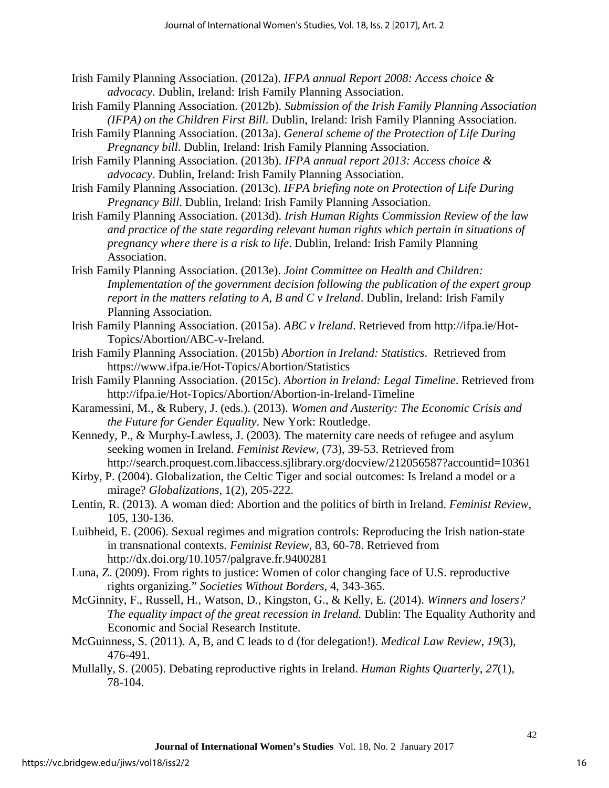- Irish Family Planning Association. (2012a). *IFPA annual Report 2008: Access choice & advocacy*. Dublin, Ireland: Irish Family Planning Association.
- Irish Family Planning Association. (2012b). *Submission of the Irish Family Planning Association (IFPA) on the Children First Bill*. Dublin, Ireland: Irish Family Planning Association.
- Irish Family Planning Association. (2013a). *General scheme of the Protection of Life During Pregnancy bill*. Dublin, Ireland: Irish Family Planning Association.
- Irish Family Planning Association. (2013b). *IFPA annual report 2013: Access choice & advocacy*. Dublin, Ireland: Irish Family Planning Association.
- Irish Family Planning Association. (2013c). *IFPA briefing note on Protection of Life During Pregnancy Bill*. Dublin, Ireland: Irish Family Planning Association.
- Irish Family Planning Association. (2013d). *Irish Human Rights Commission Review of the law and practice of the state regarding relevant human rights which pertain in situations of pregnancy where there is a risk to life*. Dublin, Ireland: Irish Family Planning Association.
- Irish Family Planning Association. (2013e). *Joint Committee on Health and Children: Implementation of the government decision following the publication of the expert group report in the matters relating to A, B and C v Ireland*. Dublin, Ireland: Irish Family Planning Association.
- Irish Family Planning Association. (2015a). *ABC v Ireland*. Retrieved from http://ifpa.ie/Hot-Topics/Abortion/ABC-v-Ireland.
- Irish Family Planning Association. (2015b) *Abortion in Ireland: Statistics*. Retrieved from https://www.ifpa.ie/Hot-Topics/Abortion/Statistics
- Irish Family Planning Association. (2015c). *Abortion in Ireland: Legal Timeline*. Retrieved from http://ifpa.ie/Hot-Topics/Abortion/Abortion-in-Ireland-Timeline
- Karamessini, M., & Rubery, J. (eds.). (2013). *Women and Austerity: The Economic Crisis and the Future for Gender Equality*. New York: Routledge.
- Kennedy, P., & Murphy-Lawless, J. (2003). The maternity care needs of refugee and asylum seeking women in Ireland. *Feminist Review*, (73), 39-53. Retrieved from http://search.proquest.com.libaccess.sjlibrary.org/docview/212056587?accountid=10361
- Kirby, P. (2004). Globalization, the Celtic Tiger and social outcomes: Is Ireland a model or a mirage? *Globalizations,* 1(2), 205-222.
- Lentin, R. (2013). A woman died: Abortion and the politics of birth in Ireland. *Feminist Review*, 105, 130-136.
- Luibheid, E. (2006). Sexual regimes and migration controls: Reproducing the Irish nation-state in transnational contexts. *Feminist Review*, 83, 60-78. Retrieved from http://dx.doi.org/10.1057/palgrave.fr.9400281
- Luna, Z. (2009). From rights to justice: Women of color changing face of U.S. reproductive rights organizing." *Societies Without Borders*, 4, 343-365.
- McGinnity, F., Russell, H., Watson, D., Kingston, G., & Kelly, E. (2014). *Winners and losers? The equality impact of the great recession in Ireland.* Dublin: The Equality Authority and Economic and Social Research Institute.
- McGuinness, S. (2011). A, B, and C leads to d (for delegation!). *Medical Law Review*, *19*(3), 476-491.
- Mullally, S. (2005). Debating reproductive rights in Ireland. *Human Rights Quarterly*, *27*(1), 78-104.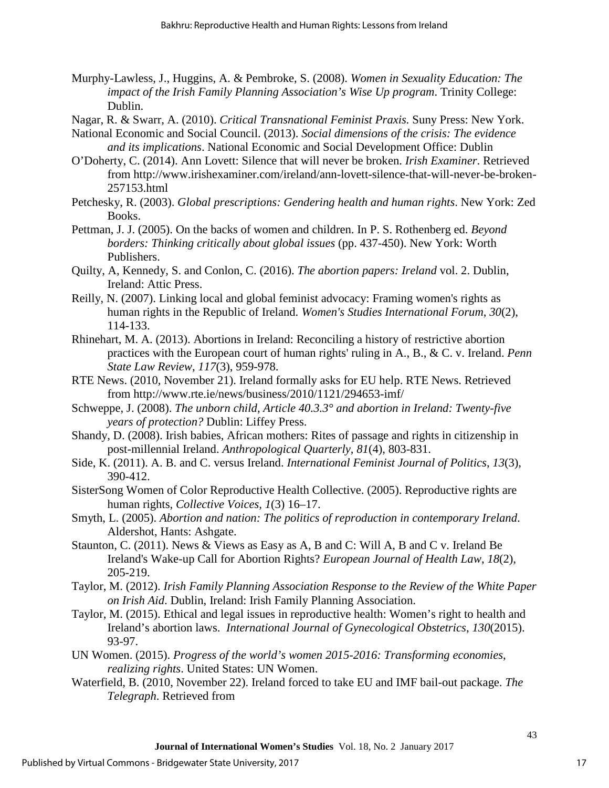- Murphy-Lawless, J., Huggins, A. & Pembroke, S. (2008). *Women in Sexuality Education: The impact of the Irish Family Planning Association's Wise Up program*. Trinity College: Dublin.
- Nagar, R. & Swarr, A. (2010). *Critical Transnational Feminist Praxis.* Suny Press: New York.
- National Economic and Social Council. (2013). *Social dimensions of the crisis: The evidence and its implications*. National Economic and Social Development Office: Dublin
- O'Doherty, C. (2014). Ann Lovett: Silence that will never be broken. *Irish Examiner*. Retrieved from http://www.irishexaminer.com/ireland/ann-lovett-silence-that-will-never-be-broken-257153.html
- Petchesky, R. (2003). *Global prescriptions: Gendering health and human rights*. New York: Zed Books.
- Pettman, J. J. (2005). On the backs of women and children. In P. S. Rothenberg ed. *Beyond borders: Thinking critically about global issues* (pp. 437-450). New York: Worth Publishers.
- Quilty, A, Kennedy, S. and Conlon, C. (2016). *The abortion papers: Ireland* vol. 2. Dublin, Ireland: Attic Press.
- Reilly, N. (2007). Linking local and global feminist advocacy: Framing women's rights as human rights in the Republic of Ireland. *Women's Studies International Forum*, *30*(2), 114-133.
- Rhinehart, M. A. (2013). Abortions in Ireland: Reconciling a history of restrictive abortion practices with the European court of human rights' ruling in A., B., & C. v. Ireland. *Penn State Law Review*, *117*(3), 959-978.
- RTE News. (2010, November 21). Ireland formally asks for EU help. RTE News. Retrieved from http://www.rte.ie/news/business/2010/1121/294653-imf/
- Schweppe, J. (2008). *The unborn child, Article 40.3.3° and abortion in Ireland: Twenty-five years of protection?* Dublin: Liffey Press.
- Shandy, D. (2008). Irish babies, African mothers: Rites of passage and rights in citizenship in post-millennial Ireland. *Anthropological Quarterly*, *81*(4), 803-831.
- Side, K. (2011). A. B. and C. versus Ireland. *International Feminist Journal of Politics*, *13*(3), 390-412.
- SisterSong Women of Color Reproductive Health Collective. (2005). Reproductive rights are human rights, *Collective Voices, 1*(3) 16–17.
- Smyth, L. (2005). *Abortion and nation: The politics of reproduction in contemporary Ireland*. Aldershot, Hants: Ashgate.
- Staunton, C. (2011). News & Views as Easy as A, B and C: Will A, B and C v. Ireland Be Ireland's Wake-up Call for Abortion Rights? *European Journal of Health Law*, *18*(2), 205-219.
- Taylor, M. (2012). *Irish Family Planning Association Response to the Review of the White Paper on Irish Aid*. Dublin, Ireland: Irish Family Planning Association.
- Taylor, M. (2015). Ethical and legal issues in reproductive health: Women's right to health and Ireland's abortion laws. *International Journal of Gynecological Obstetrics*, *130*(2015). 93-97.
- UN Women. (2015). *Progress of the world's women 2015-2016: Transforming economies, realizing rights*. United States: UN Women.
- Waterfield, B. (2010, November 22). Ireland forced to take EU and IMF bail-out package. *The Telegraph*. Retrieved from